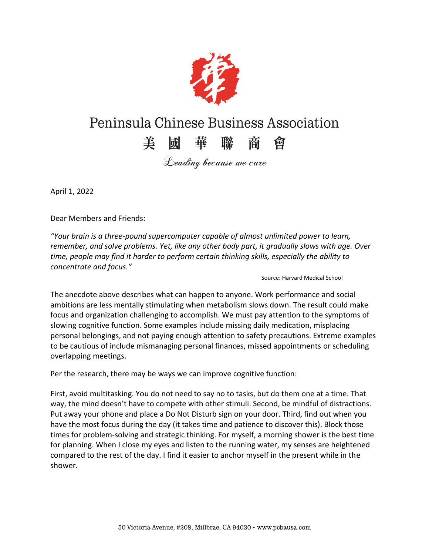

## Peninsula Chinese Business Association

## 美國華聯商會

Leading because we care

April 1, 2022

Dear Members and Friends:

*"Your brain is a three-pound supercomputer capable of almost unlimited power to learn, remember, and solve problems. Yet, like any other body part, it gradually slows with age. Over time, people may find it harder to perform certain thinking skills, especially the ability to concentrate and focus."*

Source: Harvard Medical School

The anecdote above describes what can happen to anyone. Work performance and social ambitions are less mentally stimulating when metabolism slows down. The result could make focus and organization challenging to accomplish. We must pay attention to the symptoms of slowing cognitive function. Some examples include missing daily medication, misplacing personal belongings, and not paying enough attention to safety precautions. Extreme examples to be cautious of include mismanaging personal finances, missed appointments or scheduling overlapping meetings.

Per the research, there may be ways we can improve cognitive function:

First, avoid multitasking. You do not need to say no to tasks, but do them one at a time. That way, the mind doesn't have to compete with other stimuli. Second, be mindful of distractions. Put away your phone and place a Do Not Disturb sign on your door. Third, find out when you have the most focus during the day (it takes time and patience to discover this). Block those times for problem-solving and strategic thinking. For myself, a morning shower is the best time for planning. When I close my eyes and listen to the running water, my senses are heightened compared to the rest of the day. I find it easier to anchor myself in the present while in the shower.